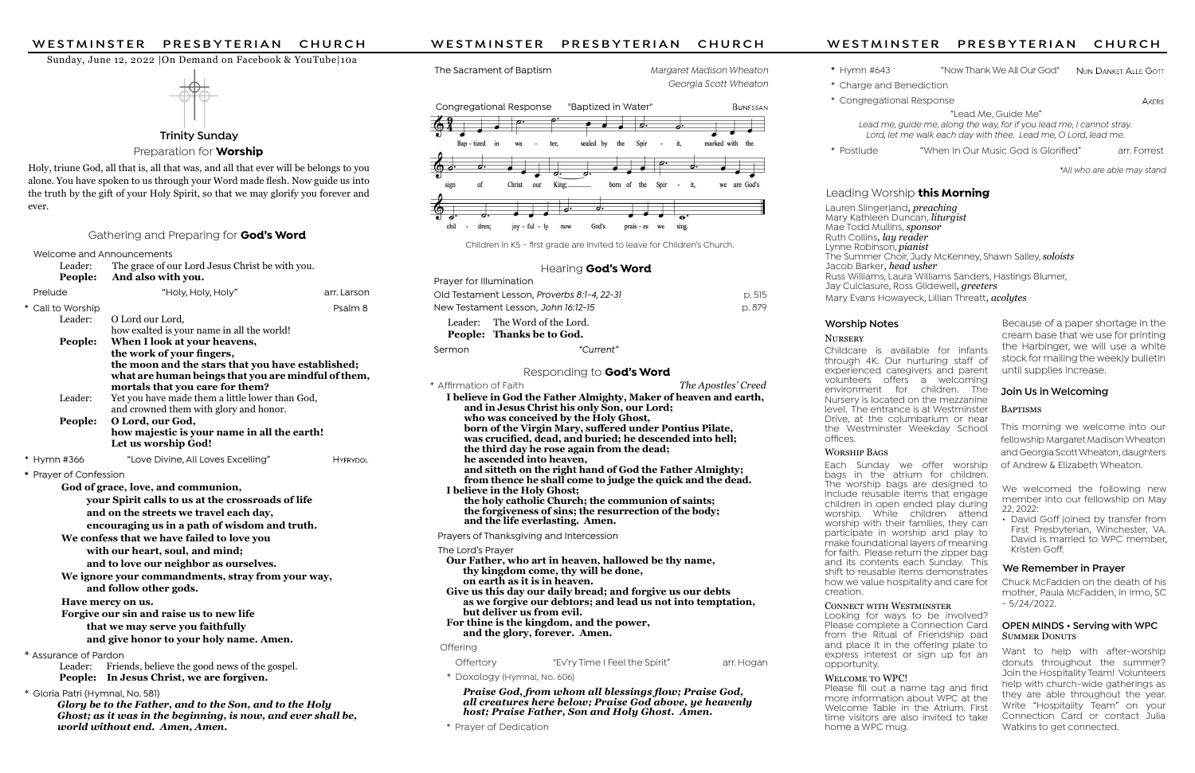Trinity Sunday

Preparation for **Worship** 

### Sunday, June 12, 2022 |On Demand on Facebook & YouTube|10a



Childcare is available for infants through 4K. Our nurturing staff of experienced caregivers and parent volunteers offers a welcoming environment for children. The Nursery is located on the mezzanine level. The entrance is at Westminster Drive, at the columbarium or near the Westminster Weekday School offices.

### WORSHIP BAGS

WELCOME TO WPC! Please fill out a name tag and find more information about WPC at the Welcome Table in the Atrium. First time visitors are also invited to take home a WPC mug.

Each Sunday we offer worship bags in the atrium for children. The worship bags are designed to include reusable items that engage children in open ended play during worship. While children attend worship with their families, they can participate in worship and play to make foundational layers of meaning for faith. Please return the zipper bag and its contents each Sunday. This shift to reusable items demonstrates how we value hospitality and care for creation.

### CONNECT WITH WESTMINSTER

Looking for ways to be involved? Please complete a Connection Card from the Ritual of Friendship pad and place it in the offering plate to express interest or sign up for an opportunity.

Holy, triune God, all that is, all that was, and all that ever will be belongs to you alone. You have spoken to us through your Word made flesh. Now guide us into the truth by the gift of your Holy Spirit, so that we may glorify you forever and ever.

### Gathering and Preparing for **God's Word**

# Worship Notes

### **NURSERY**

Welcome and Announcements

| * Affirmation of Faith                                           | The Apostles' Creed |  |  |
|------------------------------------------------------------------|---------------------|--|--|
| I believe in God the Father Almighty, Maker of heaven and earth, |                     |  |  |
| and in Jesus Christ his only Son, our Lord;                      |                     |  |  |
| who was conceived by the Holy Ghost,                             |                     |  |  |
| born of the Virgin Mary, suffered under Pontius Pilate,          |                     |  |  |
| was crucified, dead, and buried; he descended into hell;         |                     |  |  |
| the third day he rose again from the dead;                       |                     |  |  |
| he ascended into heaven,                                         |                     |  |  |
| and sitteth on the right hand of God the Father Almighty;        |                     |  |  |
| from thence he shall come to judge the quick and the dead.       |                     |  |  |
| I believe in the Holy Ghost;                                     |                     |  |  |
| the holy catholic Church; the communion of saints;               |                     |  |  |
| the forgiveness of sins; the resurrection of the body;           |                     |  |  |
| and the life everlasting. Amen.                                  |                     |  |  |
| Prayers of Thanksgiving and Intercession                         |                     |  |  |
| TL - L - - - 1 - D. - - - - - -                                  |                     |  |  |

Praise God, from whom all blessings flow; Praise God, all creatures here below; Praise God above, ye heavenly host; Praise Father, Son and Holy Ghost. Amen.

## OPEN MINDS • Serving with WPC **SUMMER DONUTS**

| Leader:<br>People:                                                                                                                                         | The grace of our Lord Jesus Christ be with you.<br>And also with you.                                                                       |                 |  |  |  |
|------------------------------------------------------------------------------------------------------------------------------------------------------------|---------------------------------------------------------------------------------------------------------------------------------------------|-----------------|--|--|--|
| Prelude                                                                                                                                                    | "Holy, Holy, Holy"                                                                                                                          | arr. Larson     |  |  |  |
| * Call to Worship                                                                                                                                          |                                                                                                                                             | Psalm 8         |  |  |  |
| Leader:                                                                                                                                                    | O Lord our Lord,                                                                                                                            |                 |  |  |  |
| People:                                                                                                                                                    | how exalted is your name in all the world!<br>When I look at your heavens,                                                                  |                 |  |  |  |
|                                                                                                                                                            | the work of your fingers,                                                                                                                   |                 |  |  |  |
|                                                                                                                                                            | the moon and the stars that you have established;<br>what are human beings that you are mindful of them,<br>mortals that you care for them? |                 |  |  |  |
| Leader:                                                                                                                                                    | Yet you have made them a little lower than God,<br>and crowned them with glory and honor.                                                   |                 |  |  |  |
| People:                                                                                                                                                    | O Lord, our God,                                                                                                                            |                 |  |  |  |
|                                                                                                                                                            | how majestic is your name in all the earth!<br>Let us worship God!                                                                          |                 |  |  |  |
| * Hymn #366                                                                                                                                                | "Love Divine, All Loves Excelling"                                                                                                          | <b>HYFRYDOL</b> |  |  |  |
| * Prayer of Confession                                                                                                                                     |                                                                                                                                             |                 |  |  |  |
|                                                                                                                                                            | God of grace, love, and communion,                                                                                                          |                 |  |  |  |
| your Spirit calls to us at the crossroads of life                                                                                                          |                                                                                                                                             |                 |  |  |  |
| and on the streets we travel each day,                                                                                                                     |                                                                                                                                             |                 |  |  |  |
| encouraging us in a path of wisdom and truth.<br>We confess that we have failed to love you                                                                |                                                                                                                                             |                 |  |  |  |
| with our heart, soul, and mind;                                                                                                                            |                                                                                                                                             |                 |  |  |  |
| and to love our neighbor as ourselves.                                                                                                                     |                                                                                                                                             |                 |  |  |  |
| We ignore your commandments, stray from your way,                                                                                                          |                                                                                                                                             |                 |  |  |  |
| and follow other gods.                                                                                                                                     |                                                                                                                                             |                 |  |  |  |
| Have mercy on us.                                                                                                                                          |                                                                                                                                             |                 |  |  |  |
| Forgive our sin and raise us to new life<br>that we may serve you faithfully                                                                               |                                                                                                                                             |                 |  |  |  |
|                                                                                                                                                            | and give honor to your holy name. Amen.                                                                                                     |                 |  |  |  |
| * Assurance of Pardon                                                                                                                                      |                                                                                                                                             |                 |  |  |  |
| Leader:<br>People:                                                                                                                                         | Friends, believe the good news of the gospel.<br>In Jesus Christ, we are forgiven.                                                          |                 |  |  |  |
| * Gloria Patri (Hymnal, No. 581)                                                                                                                           |                                                                                                                                             |                 |  |  |  |
| Glory be to the Father, and to the Son, and to the Holy<br>Ghost; as it was in the beginning, is now, and ever shall be,<br>world without end. Amen, Amen. |                                                                                                                                             |                 |  |  |  |

The Sacrament of Baptism Margaret Madison Wheaton

Want to help with after-worship donuts throughout the summer? Join the Hospitality Team! Volunteers help with church-wide gatherings as they are able throughout the year. Write "Hospitality Team" on your Connection Card or contact Julia Watkins to get connected.

Georgia Scott Wheaton

**BUNESSAN** 

- 
- 

# Leading Worship this Morning

Lauren Slingerland, *preaching* Mary Kathleen Duncan, *liturgist* Mae Todd Mullins, sponsor Ruth Collins, lay reader Lynne Robinson, *pianist* The Summer Choir, Judy McKenney, Shawn Salley, soloists Jacob Barker, head usher Russ Williams, Laura Williams Sanders, Hastings Blumer, Jay Culclasure, Ross Glidewell, *greeters* Mary Evans Howayeck, Lillian Threatt, *acolytes* 

Congregational Response "Baptized in Water"



Children in K5 - first grade are invited to leave for Children's Church.

### Hearing **God's Word**

### The Lord's Prayer

 Our Father, who art in heaven, hallowed be thy name, thy kingdom come, thy will be done, on earth as it is in heaven. Give us this day our daily bread; and forgive us our debts as we forgive our debtors; and lead us not into temptation, but deliver us from evil. For thine is the kingdom, and the power,

and the glory, forever. Amen.

## **Offering**

Offertory "Ev'ry Time I Feel the Spirit" arr. Hogan

\* Doxology (Hymnal, No. 606)

\* Prayer of Dedication

# WESTMINSTER PRESBYTERIAN CHURCH<br>
Sunday, June 12, 2022 |On Demand on Facebook & YouTube|10a<br>
The Sacrament of Baptism Margaret Madison Wheaton \* Hymn #643 "Now Thank We All Our God" Nun DANKET ALLE GOTT<br>
Ceorgia Scott Whea

\* Hymn #643 "Now Thank We All Our God" NUN DANKET ALLE GOTT

| Leader: The Word of the Lord.<br>People: Thanks be to God. |        |
|------------------------------------------------------------|--------|
| New Testament Lesson, John 16:12-15                        | p. 879 |
| Old Testament Lesson, Proverbs 8:1-4, 22-31                | D.515  |
| Prayer for Illumination                                    |        |

Sermon "Current"

### Responding to **God's Word**

\* Charge and Benediction

\* Congregational Response

 "Lead Me, Guide Me" Lead me, guide me, along the way, for if you lead me, I cannot stray. Lord, let me walk each day with thee. Lead me, O Lord, lead me.

\* Postlude "When In Our Music God is Glorified" arr. Forrest

**AKERS** 

\*All who are able may stand

Chuck McFadden on the death of his mother, Paula McFadden, in Irmo, SC - 5/24/2022.

# We Remember in Prayer

This morning we welcome into our fellowship Margaret Madison Wheaton and Georgia Scott Wheaton, daughters of Andrew & Elizabeth Wheaton.

# Join Us in Welcoming

# **BAPTISMS**

We welcomed the following new member into our fellowship on May 22, 2022:

• David Goff joined by transfer from First Presbyterian, Winchester, VA. David is married to WPC member, Kristen Goff.

Because of a paper shortage in the cream base that we use for printing the Harbinger, we will use a white stock for mailing the weekly bulletin until supplies increase.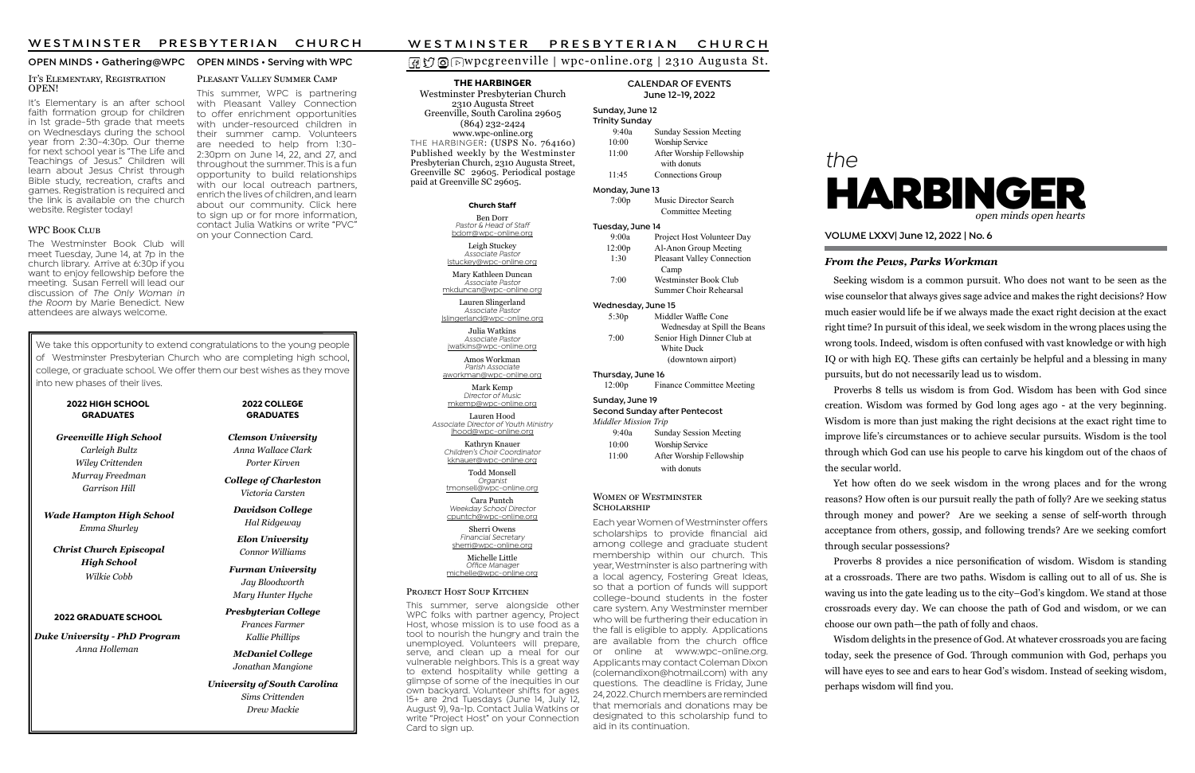# wpcgreenville | wpc-online.org | 2310 Augusta St.

# the



### From the Pews, Parks Workman

## VOLUME LXXV| June 12, 2022 | No. 6

### THE HARBINGER

### Sunday, June 12 Trin

Westminster Presbyterian Church 2310 Augusta Street Greenville, South Carolina 29605 (864) 232-2424 www.wpc-online.org THE HARBINGER: (USPS No. 764160) Published weekly by the Westminster Presbyterian Church, 2310 Augusta Street, Greenville SC 29605. Periodical postage paid at Greenville SC 29605.

| CALENDAR OF EVENTS |
|--------------------|
| June 12-19, 2022   |

| <b>Trinity Sunday</b> |                                                     |  |  |  |
|-----------------------|-----------------------------------------------------|--|--|--|
| 9:40a                 | Sunday Session Meeting                              |  |  |  |
| 10:00                 | Worship Service                                     |  |  |  |
| 11:00                 | After Worship Fellowship<br>with donuts             |  |  |  |
| 11:45                 | Connections Group                                   |  |  |  |
| Monday, June 13       |                                                     |  |  |  |
| 7:00p                 | Music Director Search                               |  |  |  |
|                       | Committee Meeting                                   |  |  |  |
| Tuesday, June 14      |                                                     |  |  |  |
| 9:00a                 | Project Host Volunteer Day                          |  |  |  |
| 12:00p                | Al-Anon Group Meeting                               |  |  |  |
| 1:30                  | Pleasant Valley Connection<br>Camp                  |  |  |  |
| 7:00                  | Westminster Book Club                               |  |  |  |
|                       | Summer Choir Rehearsal                              |  |  |  |
| Wednesday, June 15    |                                                     |  |  |  |
| 5:30p                 | Middler Waffle Cone<br>Wednesday at Spill the Beans |  |  |  |
| 7:00                  | Senior High Dinner Club at<br><b>White Duck</b>     |  |  |  |

Financial Secretary sherri@wpc-online.org Michelle Little Office Manager

(downtown airport)

**WOMEN OF WESTMINSTER** SCHOLARSHIP

Thursday, June 16 12:00p Finance Committee Meeting Sunday, June 19 Second Sunday after Pentecost Middler Mission Trip 9:40a Sunday Session Meeting 10:00 Worship Service 11:00 After Worship Fellowship

with donuts

Church Staff

Ben Dorr Pastor & Head of Staff bdorr@wpc-online.org

Leigh Stuckey Associate Pastor lstuckey@wpc-online.org

Mary Kathleen Duncan Associate Pastor mkduncan@wpc-online.org

Lauren Slingerland Associate Pastor lslingerland@wpc-online.org

PLEASANT VALLEY SUMMER CAMP This summer, WPC is partnering with Pleasant Valley Connection to offer enrichment opportunities with under-resourced children in their summer camp. Volunteers are needed to help from 1:30- 2:30pm on June 14, 22, and 27, and throughout the summer. This is a fun opportunity to build relationships with our local outreach partners, enrich the lives of children, and learn about our community. Click here to sign up or for more information, contact Julia Watkins or write "PVC"

### IT'S ELEMENTARY, REGISTRATION OPEN!

Julia Watkins Associate Pastor jwatkins@wpc-online.org

Amos Workman Parish Associate aworkman@wpc-online.org

Mark Kemp Director of Music mkemp@wpc-online.org

Lauren Hood Associate Director of Youth Ministry lhood@wpc-online.org

It's Elementary is an after school faith formation group for children in 1st grade-5th grade that meets on Wednesdays during the school year from 2:30-4:30p. Our theme for next school year is "The Life and Teachings of Jesus." Children will learn about Jesus Christ through Bible study, recreation, crafts and games. Registration is required and the link is available on the church website. Register today!

### WPC BOOK CLUB

Kathryn Knauer Children's Choir Coordinator kknauer@wpc-online.org

> Todd Monsell Organist

tmonsell@wpc-online.org Cara Puntch

Weekday School Director cpuntch@wpc-online.org Sherri Owens

michelle@wpc-online.org

### PROJECT HOST SOUP KITCHEN

### OPEN MINDS • Gathering@WPC OPEN MINDS • Serving with WPC

Yet how often do we seek wisdom in the wrong places and for the wrong reasons? How often is our pursuit really the path of folly? Are we seeking status through money and power? Are we seeking a sense of self-worth through acceptance from others, gossip, and following trends? Are we seeking comfort through secular possessions? Proverbs 8 provides a nice personification of wisdom. Wisdom is standing

This summer, serve alongside other WPC folks with partner agency, Project Host, whose mission is to use food as a tool to nourish the hungry and train the unemployed. Volunteers will prepare, serve, and clean up a meal for our vulnerable neighbors. This is a great way to extend hospitality while getting a glimpse of some of the inequities in our own backyard. Volunteer shifts for ages 15+ are 2nd Tuesdays (June 14, July 12, August 9), 9a-1p. Contact Julia Watkins or write "Project Host" on your Connection Card to sign up.

Wisdom delights in the presence of God. At whatever crossroads you are facing today, seek the presence of God. Through communion with God, perhaps you will have eyes to see and ears to hear God's wisdom. Instead of seeking wisdom, perhaps wisdom will find you.

on your Connection Card.

Seeking wisdom is a common pursuit. Who does not want to be seen as the wise counselor that always gives sage advice and makes the right decisions? How much easier would life be if we always made the exact right decision at the exact right time? In pursuit of this ideal, we seek wisdom in the wrong places using the wrong tools. Indeed, wisdom is often confused with vast knowledge or with high IQ or with high EQ. These gifts can certainly be helpful and a blessing in many pursuits, but do not necessarily lead us to wisdom.

Proverbs 8 tells us wisdom is from God. Wisdom has been with God since creation. Wisdom was formed by God long ages ago - at the very beginning. Wisdom is more than just making the right decisions at the exact right time to improve life's circumstances or to achieve secular pursuits. Wisdom is the tool through which God can use his people to carve his kingdom out of the chaos of the secular world.

at a crossroads. There are two paths. Wisdom is calling out to all of us. She is waving us into the gate leading us to the city–God's kingdom. We stand at those crossroads every day. We can choose the path of God and wisdom, or we can choose our own path—the path of folly and chaos.

Each year Women of Westminster offers scholarships to provide financial aid among college and graduate student membership within our church. This year, Westminster is also partnering with a local agency, Fostering Great Ideas, so that a portion of funds will support college-bound students in the foster care system. Any Westminster member who will be furthering their education in the fall is eligible to apply. Applications are available from the church office or online at www.wpc-online.org. Applicants may contact Coleman Dixon (colemandixon@hotmail.com) with any questions. The deadline is Friday, June 24, 2022. Church members are reminded that memorials and donations may be designated to this scholarship fund to aid in its continuation.

The Westminster Book Club will meet Tuesday, June 14, at 7p in the church library. Arrive at 6:30p if you want to enjoy fellowship before the meeting. Susan Ferrell will lead our discussion of The Only Woman in the Room by Marie Benedict. New attendees are always welcome.

### 2022 HIGH SCHOOL GRADUATES

Greenville High School Carleigh Bultz Wiley Crittenden Murray Freedman Garrison Hill

Wade Hampton High School Emma Shurley

Christ Church Episcopal High School Wilkie Cobb

Clemson University Anna Wallace Clark Porter Kirven

College of Charleston Victoria Carsten

Davidson College Hal Ridgeway

Elon University Connor Williams

Furman University Jay Bloodworth Mary Hunter Hyche

Presbyterian College Frances Farmer Kallie Phillips

McDaniel College Jonathan Mangione

University of South Carolina Sims Crittenden Drew Mackie

# W E S T M I N S T E R PRESBYTERIAN CHURCH<br> **O** O D W pc g reenville | wpc-online.org | 2310 Augusta St.<br>
THE HARBINGER CALENDAR OF EVENTS

### 2022 COLLEGE GRADUATES

We take this opportunity to extend congratulations to the young people of Westminster Presbyterian Church who are completing high school, college, or graduate school. We offer them our best wishes as they move into new phases of their lives.

### 2022 GRADUATE SCHOOL

Duke University - PhD Program Anna Holleman